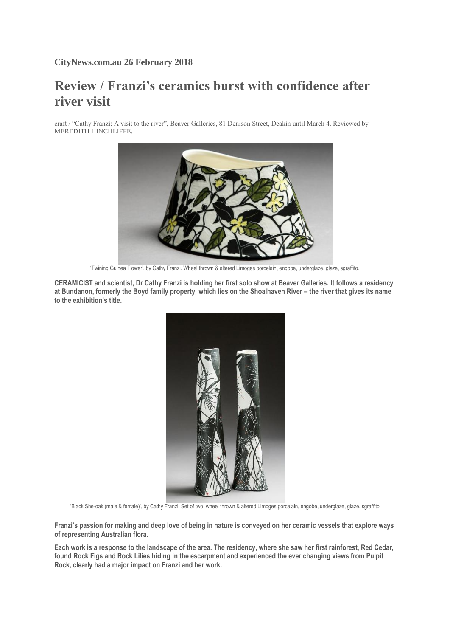## **Review / Franzi's ceramics burst with confidence after river visit**

craft / "Cathy Franzi: A visit to the river", Beaver Galleries, 81 Denison Street, Deakin until March 4. Reviewed by MEREDITH HINCHLIFFE.



'Twining Guinea Flower', by Cathy Franzi. Wheel thrown & altered Limoges porcelain, engobe, underglaze, glaze, sgraffito.

**CERAMICIST and scientist, Dr Cathy Franzi is holding her first solo show at Beaver Galleries. It follows a residency at Bundanon, formerly the Boyd family property, which lies on the Shoalhaven River – the river that gives its name to the exhibition's title.**



'Black She-oak (male & female)', by Cathy Franzi. Set of two, wheel thrown & altered Limoges porcelain, engobe, underglaze, glaze, sgraffito

**Franzi's passion for making and deep love of being in nature is conveyed on her ceramic vessels that explore ways of representing Australian flora.**

**Each work is a response to the landscape of the area. The residency, where she saw her first rainforest, Red Cedar, found Rock Figs and Rock Lilies hiding in the escarpment and experienced the ever changing views from Pulpit Rock, clearly had a major impact on Franzi and her work.**